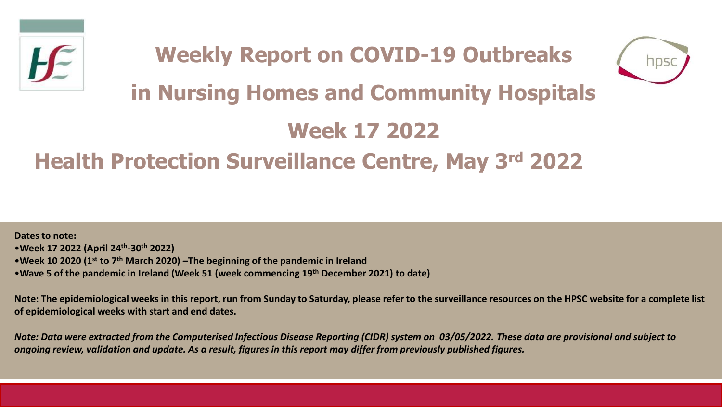

# **Weekly Report on COVID-19 Outbreaks in Nursing Homes and Community Hospitals Week 17 2022**

## **Health Protection Surveillance Centre, May 3rd 2022**

**Dates to note:** •**Week 17 2022 (April 24th -30th 2022)** •**Week 10 2020 (1st to 7th March 2020) –The beginning of the pandemic in Ireland**  •**Wave 5 of the pandemic in Ireland (Week 51 (week commencing 19th December 2021) to date)**

**Note: The epidemiological weeks in this report, run from Sunday to Saturday, please refer to the surveillance resources on the HPSC website for a complete list of epidemiological weeks with start and end dates.**

*Note: Data were extracted from the Computerised Infectious Disease Reporting (CIDR) system on 03/05/2022. These data are provisional and subject to ongoing review, validation and update. As a result, figures in this report may differ from previously published figures.*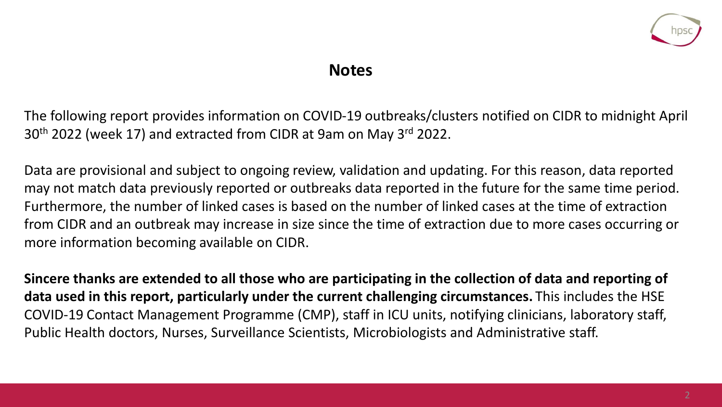

#### **Notes**

The following report provides information on COVID-19 outbreaks/clusters notified on CIDR to midnight April 30<sup>th</sup> 2022 (week 17) and extracted from CIDR at 9am on May 3<sup>rd</sup> 2022.

Data are provisional and subject to ongoing review, validation and updating. For this reason, data reported may not match data previously reported or outbreaks data reported in the future for the same time period. Furthermore, the number of linked cases is based on the number of linked cases at the time of extraction from CIDR and an outbreak may increase in size since the time of extraction due to more cases occurring or more information becoming available on CIDR.

**Sincere thanks are extended to all those who are participating in the collection of data and reporting of data used in this report, particularly under the current challenging circumstances.** This includes the HSE COVID-19 Contact Management Programme (CMP), staff in ICU units, notifying clinicians, laboratory staff, Public Health doctors, Nurses, Surveillance Scientists, Microbiologists and Administrative staff.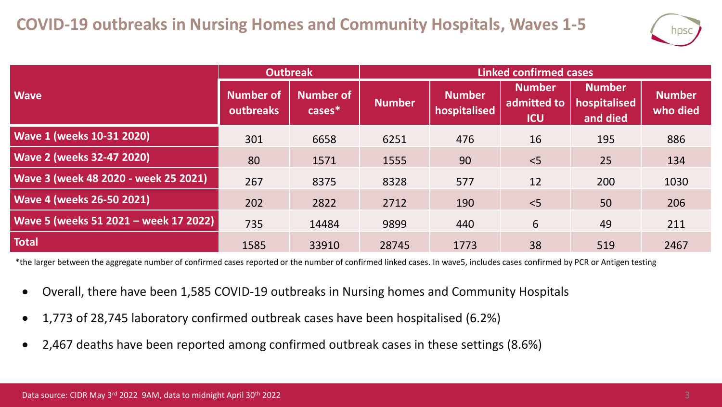

|                                       | <b>Outbreak</b>               |                               | <b>Linked confirmed cases</b> |                               |                                            |                                           |                           |  |
|---------------------------------------|-------------------------------|-------------------------------|-------------------------------|-------------------------------|--------------------------------------------|-------------------------------------------|---------------------------|--|
| <b>Wave</b>                           | <b>Number of</b><br>outbreaks | <b>Number of</b><br>$cases^*$ | <b>Number</b>                 | <b>Number</b><br>hospitalised | <b>Number</b><br>admitted to<br><b>ICU</b> | <b>Number</b><br>hospitalised<br>and died | <b>Number</b><br>who died |  |
| <b>Wave 1 (weeks 10-31 2020)</b>      | 301                           | 6658                          | 6251                          | 476                           | 16                                         | 195                                       | 886                       |  |
| <b>Wave 2 (weeks 32-47 2020)</b>      | 80                            | 1571                          | 1555                          | 90                            | < 5                                        | 25                                        | 134                       |  |
| Wave 3 (week 48 2020 - week 25 2021)  | 267                           | 8375                          | 8328                          | 577                           | 12                                         | 200                                       | 1030                      |  |
| <b>Wave 4 (weeks 26-50 2021)</b>      | 202                           | 2822                          | 2712                          | 190                           | $<$ 5                                      | 50                                        | 206                       |  |
| Wave 5 (weeks 51 2021 - week 17 2022) | 735                           | 14484                         | 9899                          | 440                           | 6                                          | 49                                        | 211                       |  |
| <b>Total</b>                          | 1585                          | 33910                         | 28745                         | 1773                          | 38                                         | 519                                       | 2467                      |  |

\*the larger between the aggregate number of confirmed cases reported or the number of confirmed linked cases. In wave5, includes cases confirmed by PCR or Antigen testing

- Overall, there have been 1,585 COVID-19 outbreaks in Nursing homes and Community Hospitals
- 1,773 of 28,745 laboratory confirmed outbreak cases have been hospitalised (6.2%)
- 2,467 deaths have been reported among confirmed outbreak cases in these settings (8.6%)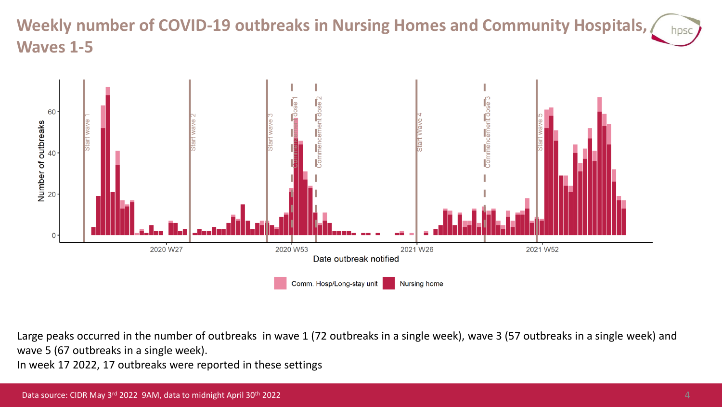#### **Weekly number of COVID-19 outbreaks in Nursing Homes and Community Hospitals,**  hpso **Waves 1-5**



Large peaks occurred in the number of outbreaks in wave 1 (72 outbreaks in a single week), wave 3 (57 outbreaks in a single week) and wave 5 (67 outbreaks in a single week).

In week 17 2022, 17 outbreaks were reported in these settings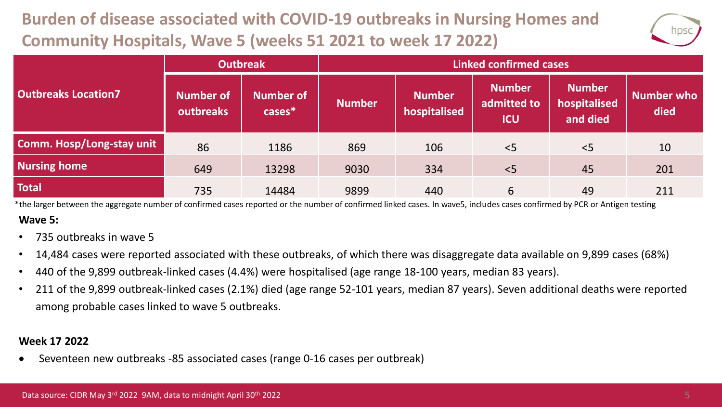### **Burden of disease associated with COVID-19 outbreaks in Nursing Homes and Community Hospitals, Wave 5 (weeks 51 2021 to week 17 2022)**



|                            | <b>Outbreak</b>        |                               | <b>Linked confirmed cases</b> |                               |                                            |                                           |                           |  |
|----------------------------|------------------------|-------------------------------|-------------------------------|-------------------------------|--------------------------------------------|-------------------------------------------|---------------------------|--|
| <b>Outbreaks Location7</b> | Number of<br>outbreaks | <b>Number of</b><br>$cases^*$ | <b>Number</b>                 | <b>Number</b><br>hospitalised | <b>Number</b><br>admitted to<br><b>ICU</b> | <b>Number</b><br>hospitalised<br>and died | <b>Number who</b><br>died |  |
| Comm. Hosp/Long-stay unit  | 86                     | 1186                          | 869                           | 106                           | < 5                                        | < 5                                       | 10                        |  |
| <b>Nursing home</b>        | 649                    | 13298                         | 9030                          | 334                           | < 5                                        | 45                                        | 201                       |  |
| <b>Total</b>               | 735                    | 14484                         | 9899                          | 440                           | 6                                          | 49                                        | 211                       |  |

**Wave 5:** \*the larger between the aggregate number of confirmed cases reported or the number of confirmed linked cases. In wave5, includes cases confirmed by PCR or Antigen testing

- 735 outbreaks in wave 5
- 14,484 cases were reported associated with these outbreaks, of which there was disaggregate data available on 9,899 cases (68%)
- 440 of the 9,899 outbreak-linked cases (4.4%) were hospitalised (age range 18-100 years, median 83 years).
- 211 of the 9,899 outbreak-linked cases (2.1%) died (age range 52-101 years, median 87 years). Seven additional deaths were reported among probable cases linked to wave 5 outbreaks.

#### **Week 17 2022**

• Seventeen new outbreaks -85 associated cases (range 0-16 cases per outbreak)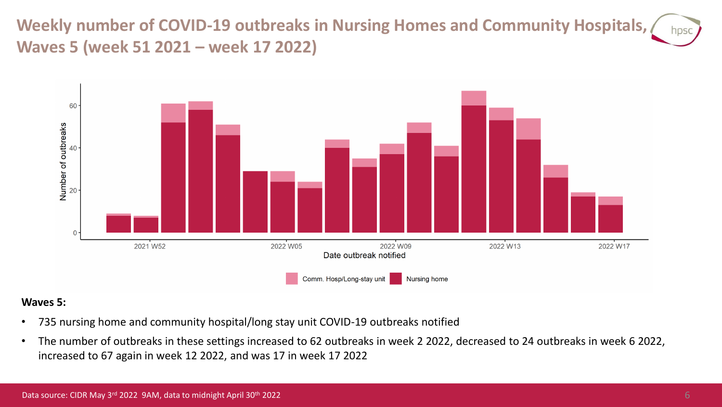**Weekly number of COVID-19 outbreaks in Nursing Homes and Community Hospitals, Waves 5 (week 51 2021 – week 17 2022)**



#### **Waves 5:**

- 735 nursing home and community hospital/long stay unit COVID-19 outbreaks notified
- The number of outbreaks in these settings increased to 62 outbreaks in week 2 2022, decreased to 24 outbreaks in week 6 2022, increased to 67 again in week 12 2022, and was 17 in week 17 2022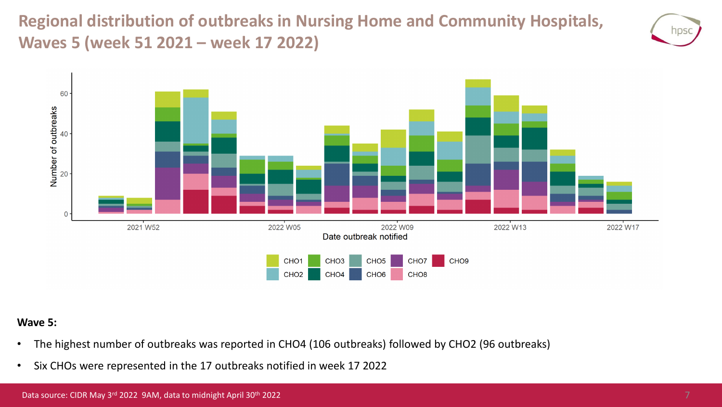**Regional distribution of outbreaks in Nursing Home and Community Hospitals, Waves 5 (week 51 2021 – week 17 2022)**





#### **Wave 5:**

- The highest number of outbreaks was reported in CHO4 (106 outbreaks) followed by CHO2 (96 outbreaks)
- Six CHOs were represented in the 17 outbreaks notified in week 17 2022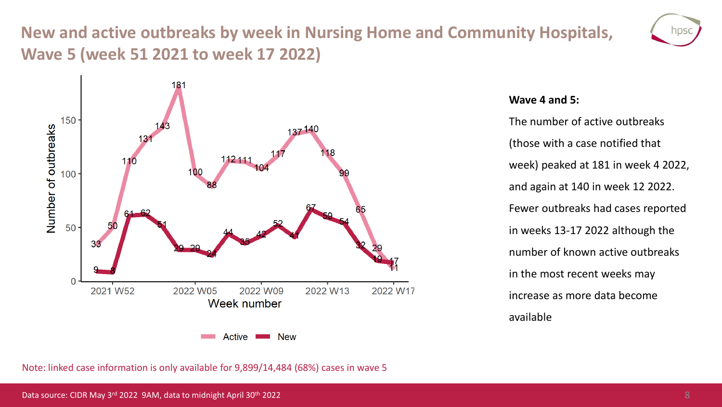### **New and active outbreaks by week in Nursing Home and Community Hospitals, Wave 5 (week 51 2021 to week 17 2022)**





#### **Wave 4 and 5:**

The number of active outbreaks (those with a case notified that week) peaked at 181 in week 4 2022, and again at 140 in week 12 2022. Fewer outbreaks had cases reported in weeks 13-17 2022 although the number of known active outbreaks in the most recent weeks may increase as more data become available

Note: linked case information is only available for 9,899/14,484 (68%) cases in wave 5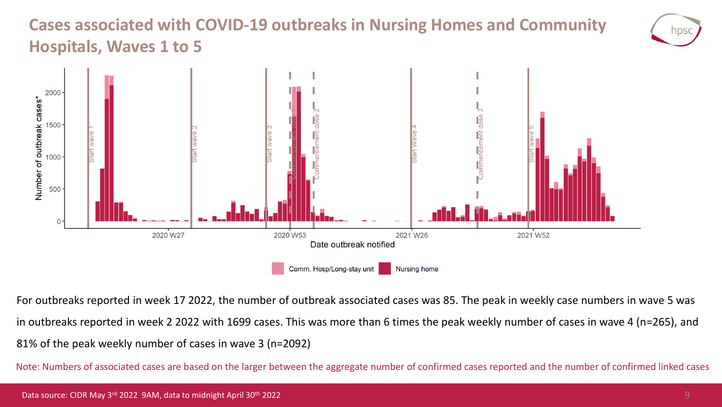### **Cases associated with COVID-19 outbreaks in Nursing Homes and Community Hospitals, Waves 1 to 5**



For outbreaks reported in week 17 2022, the number of outbreak associated cases was 85. The peak in weekly case numbers in wave 5 was in outbreaks reported in week 2 2022 with 1699 cases. This was more than 6 times the peak weekly number of cases in wave 4 (n=265), and 81% of the peak weekly number of cases in wave 3 (n=2092)

Note: Numbers of associated cases are based on the larger between the aggregate number of confirmed cases reported and the number of confirmed linked cases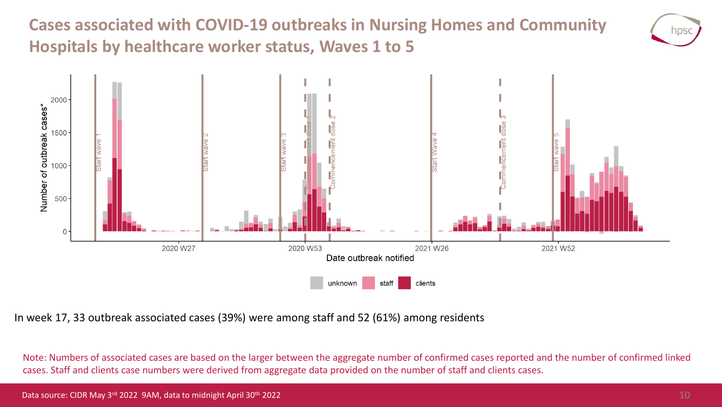**Cases associated with COVID-19 outbreaks in Nursing Homes and Community Hospitals by healthcare worker status, Waves 1 to 5**





In week 17, 33 outbreak associated cases (39%) were among staff and 52 (61%) among residents

Note: Numbers of associated cases are based on the larger between the aggregate number of confirmed cases reported and the number of confirmed linked cases. Staff and clients case numbers were derived from aggregate data provided on the number of staff and clients cases.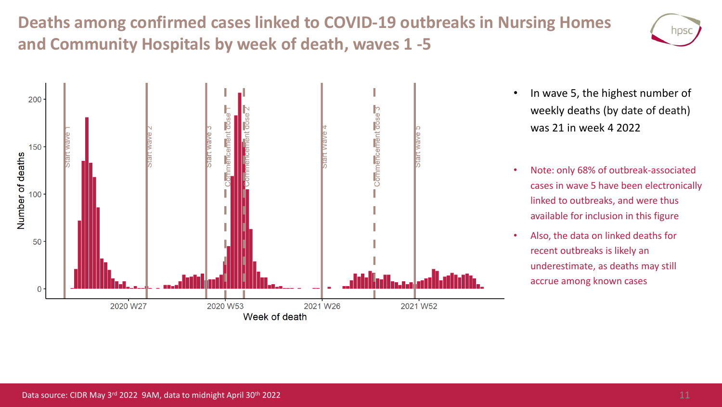**Deaths among confirmed cases linked to COVID-19 outbreaks in Nursing Homes and Community Hospitals by week of death, waves 1 -5**





- In wave 5, the highest number of weekly deaths (by date of death) was 21 in week 4 2022
- Note: only 68% of outbreak-associated cases in wave 5 have been electronically linked to outbreaks, and were thus available for inclusion in this figure
- Also, the data on linked deaths for recent outbreaks is likely an underestimate, as deaths may still accrue among known cases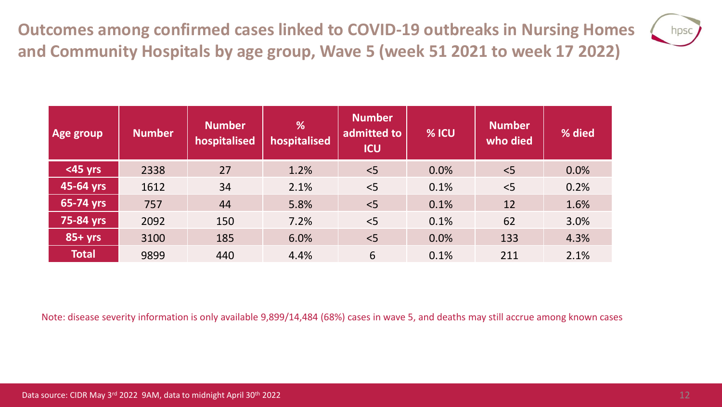**Outcomes among confirmed cases linked to COVID-19 outbreaks in Nursing Homes and Community Hospitals by age group, Wave 5 (week 51 2021 to week 17 2022)**



| Age group    | <b>Number</b> | <b>Number</b><br>hospitalised | %<br>hospitalised | <b>Number</b><br>admitted to<br><b>ICU</b> | % ICU | <b>Number</b><br>who died | % died |
|--------------|---------------|-------------------------------|-------------------|--------------------------------------------|-------|---------------------------|--------|
| $<$ 45 yrs   | 2338          | 27                            | 1.2%              | < 5                                        | 0.0%  | < 5                       | 0.0%   |
| 45-64 yrs    | 1612          | 34                            | 2.1%              | < 5                                        | 0.1%  | < 5                       | 0.2%   |
| 65-74 yrs    | 757           | 44                            | 5.8%              | < 5                                        | 0.1%  | 12                        | 1.6%   |
| 75-84 yrs    | 2092          | 150                           | 7.2%              | < 5                                        | 0.1%  | 62                        | 3.0%   |
| $85+yrs$     | 3100          | 185                           | 6.0%              | < 5                                        | 0.0%  | 133                       | 4.3%   |
| <b>Total</b> | 9899          | 440                           | 4.4%              | 6                                          | 0.1%  | 211                       | 2.1%   |

Note: disease severity information is only available 9,899/14,484 (68%) cases in wave 5, and deaths may still accrue among known cases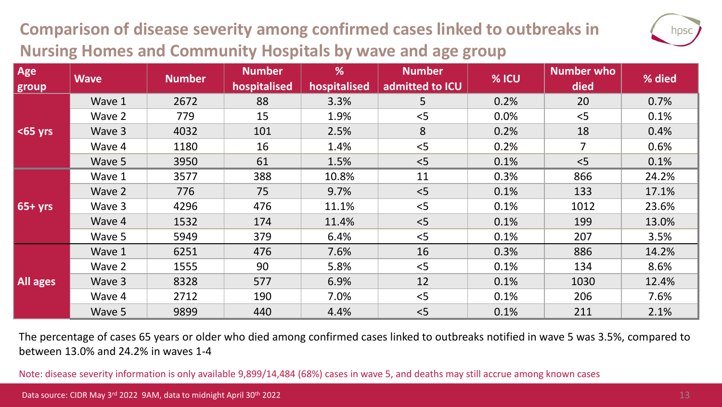### **Comparison of disease severity among confirmed cases linked to outbreaks in Nursing Homes and Community Hospitals by wave and age group**

| u.<br>Π<br>×, |
|---------------|
|               |

| Age<br>group | <b>Wave</b> | <b>Number</b> | <b>Number</b><br>hospitalised | %<br>hospitalised | <b>Number</b><br>admitted to ICU | % ICU | <b>Number who</b><br>died | % died |
|--------------|-------------|---------------|-------------------------------|-------------------|----------------------------------|-------|---------------------------|--------|
|              | Wave 1      | 2672          | 88                            | 3.3%              | 5                                | 0.2%  | 20                        | 0.7%   |
|              | Wave 2      | 779           | 15                            | 1.9%              | < 5                              | 0.0%  | < 5                       | 0.1%   |
| $65$ yrs     | Wave 3      | 4032          | 101                           | 2.5%              | 8                                | 0.2%  | 18                        | 0.4%   |
|              | Wave 4      | 1180          | 16                            | 1.4%              | < 5                              | 0.2%  | $\overline{7}$            | 0.6%   |
|              | Wave 5      | 3950          | 61                            | 1.5%              | < 5                              | 0.1%  | < 5                       | 0.1%   |
| $65+yrs$     | Wave 1      | 3577          | 388                           | 10.8%             | 11                               | 0.3%  | 866                       | 24.2%  |
|              | Wave 2      | 776           | 75                            | 9.7%              | < 5                              | 0.1%  | 133                       | 17.1%  |
|              | Wave 3      | 4296          | 476                           | 11.1%             | < 5                              | 0.1%  | 1012                      | 23.6%  |
|              | Wave 4      | 1532          | 174                           | 11.4%             | < 5                              | 0.1%  | 199                       | 13.0%  |
|              | Wave 5      | 5949          | 379                           | 6.4%              | < 5                              | 0.1%  | 207                       | 3.5%   |
| All ages     | Wave 1      | 6251          | 476                           | 7.6%              | 16                               | 0.3%  | 886                       | 14.2%  |
|              | Wave 2      | 1555          | 90                            | 5.8%              | < 5                              | 0.1%  | 134                       | 8.6%   |
|              | Wave 3      | 8328          | 577                           | 6.9%              | 12                               | 0.1%  | 1030                      | 12.4%  |
|              | Wave 4      | 2712          | 190                           | 7.0%              | < 5                              | 0.1%  | 206                       | 7.6%   |
|              | Wave 5      | 9899          | 440                           | 4.4%              | < 5                              | 0.1%  | 211                       | 2.1%   |

The percentage of cases 65 years or older who died among confirmed cases linked to outbreaks notified in wave 5 was 3.5%, compared to between 13.0% and 24.2% in waves 1-4

Note: disease severity information is only available 9,899/14,484 (68%) cases in wave 5, and deaths may still accrue among known cases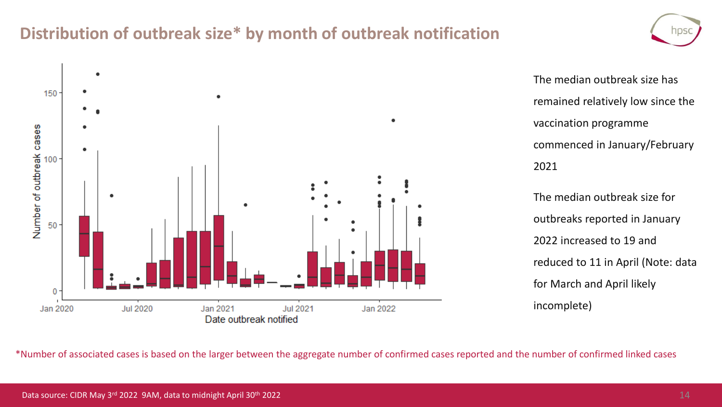### **Distribution of outbreak size\* by month of outbreak notification**



The median outbreak size has remained relatively low since the vaccination programme commenced in January/February 2021 The median outbreak size for

outbreaks reported in January 2022 increased to 19 and reduced to 11 in April (Note: data for March and April likely incomplete)

\*Number of associated cases is based on the larger between the aggregate number of confirmed cases reported and the number of confirmed linked cases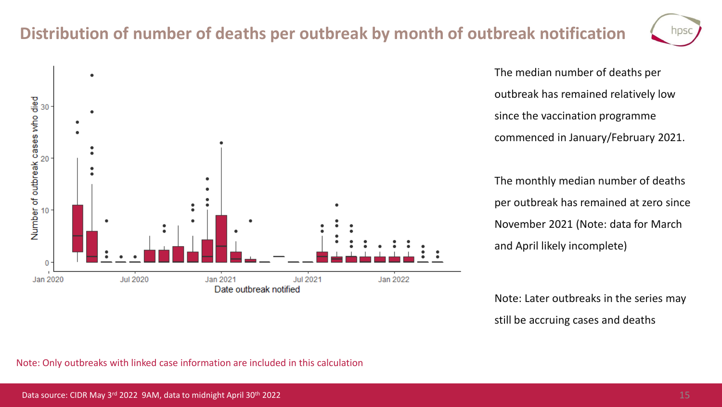### **Distribution of number of deaths per outbreak by month of outbreak notification**



The median number of deaths per outbreak has remained relatively low since the vaccination programme commenced in January/February 2021.

The monthly median number of deaths per outbreak has remained at zero since November 2021 (Note: data for March and April likely incomplete)

Note: Later outbreaks in the series may still be accruing cases and deaths

Note: Only outbreaks with linked case information are included in this calculation

nps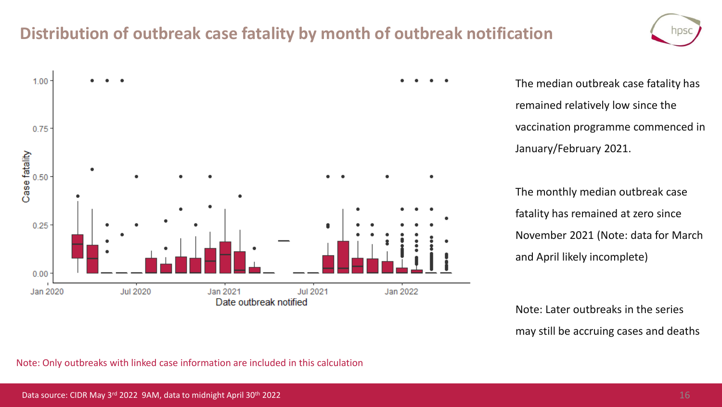### **Distribution of outbreak case fatality by month of outbreak notification**



The median outbreak case fatality has remained relatively low since the vaccination programme commenced in January/February 2021.

The monthly median outbreak case fatality has remained at zero since November 2021 (Note: data for March and April likely incomplete)

Note: Later outbreaks in the series may still be accruing cases and deaths

Note: Only outbreaks with linked case information are included in this calculation